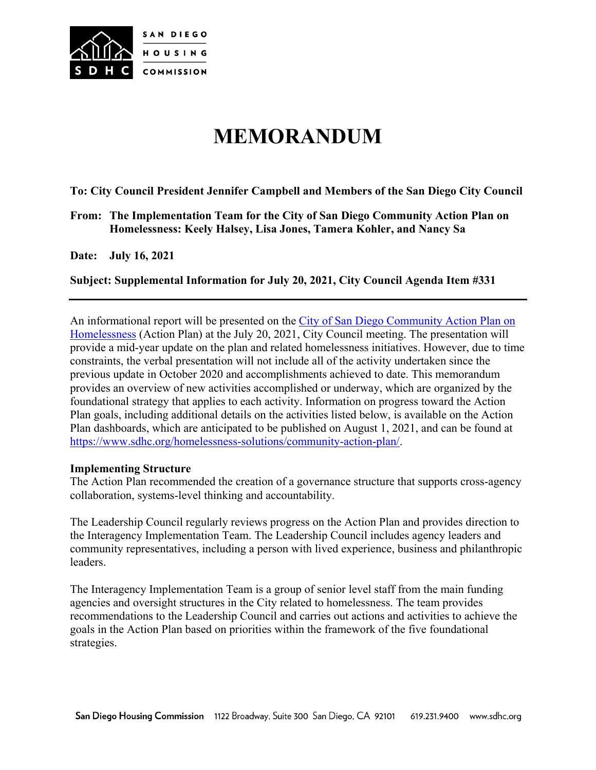

# **MEMORANDUM**

**To: City Council President Jennifer Campbell and Members of the San Diego City Council** 

**From: The Implementation Team for the City of San Diego Community Action Plan on Homelessness: Keely Halsey, Lisa Jones, Tamera Kohler, and Nancy Sa**

**Date: July 16, 2021**

**Subject: Supplemental Information for July 20, 2021, City Council Agenda Item #331** 

An informational report will be presented on the [City of San Diego Community Action Plan on](https://www.sdhc.org/wp-content/uploads/2019/10/SD_Homeless_CSH_report_final_10-2019.pdf)  [Homelessness](https://www.sdhc.org/wp-content/uploads/2019/10/SD_Homeless_CSH_report_final_10-2019.pdf) (Action Plan) at the July 20, 2021, City Council meeting. The presentation will provide a mid-year update on the plan and related homelessness initiatives. However, due to time constraints, the verbal presentation will not include all of the activity undertaken since the previous update in October 2020 and accomplishments achieved to date. This memorandum provides an overview of new activities accomplished or underway, which are organized by the foundational strategy that applies to each activity. Information on progress toward the Action Plan goals, including additional details on the activities listed below, is available on the Action Plan dashboards, which are anticipated to be published on August 1, 2021, and can be found at [https://www.sdhc.org/homelessness-solutions/community-action-plan/.](https://www.sdhc.org/homelessness-solutions/community-action-plan/)

#### **Implementing Structure**

The Action Plan recommended the creation of a governance structure that supports cross-agency collaboration, systems-level thinking and accountability.

The Leadership Council regularly reviews progress on the Action Plan and provides direction to the Interagency Implementation Team. The Leadership Council includes agency leaders and community representatives, including a person with lived experience, business and philanthropic leaders.

The Interagency Implementation Team is a group of senior level staff from the main funding agencies and oversight structures in the City related to homelessness. The team provides recommendations to the Leadership Council and carries out actions and activities to achieve the goals in the Action Plan based on priorities within the framework of the five foundational strategies.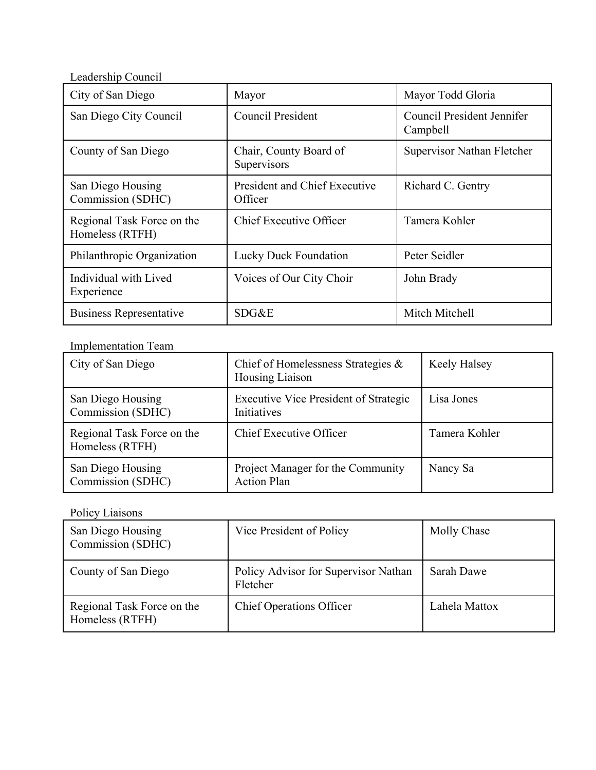Leadership Council

| City of San Diego                             | Mayor                                    | Mayor Todd Gloria                      |
|-----------------------------------------------|------------------------------------------|----------------------------------------|
| San Diego City Council                        | Council President                        | Council President Jennifer<br>Campbell |
| County of San Diego                           | Chair, County Board of<br>Supervisors    | Supervisor Nathan Fletcher             |
| San Diego Housing<br>Commission (SDHC)        | President and Chief Executive<br>Officer | Richard C. Gentry                      |
| Regional Task Force on the<br>Homeless (RTFH) | Chief Executive Officer                  | Tamera Kohler                          |
| Philanthropic Organization                    | Lucky Duck Foundation                    | Peter Seidler                          |
| Individual with Lived<br>Experience           | Voices of Our City Choir                 | John Brady                             |
| Business Representative                       | SDG&E                                    | Mitch Mitchell                         |

## Implementation Team

| City of San Diego                             | Chief of Homelessness Strategies &<br>Housing Liaison       | Keely Halsey  |
|-----------------------------------------------|-------------------------------------------------------------|---------------|
| San Diego Housing<br>Commission (SDHC)        | <b>Executive Vice President of Strategic</b><br>Initiatives | Lisa Jones    |
| Regional Task Force on the<br>Homeless (RTFH) | Chief Executive Officer                                     | Tamera Kohler |
| San Diego Housing<br>Commission (SDHC)        | Project Manager for the Community<br><b>Action Plan</b>     | Nancy Sa      |

## Policy Liaisons

| San Diego Housing<br>Commission (SDHC)        | Vice President of Policy                         | Molly Chase   |
|-----------------------------------------------|--------------------------------------------------|---------------|
| County of San Diego                           | Policy Advisor for Supervisor Nathan<br>Fletcher | Sarah Dawe    |
| Regional Task Force on the<br>Homeless (RTFH) | <b>Chief Operations Officer</b>                  | Lahela Mattox |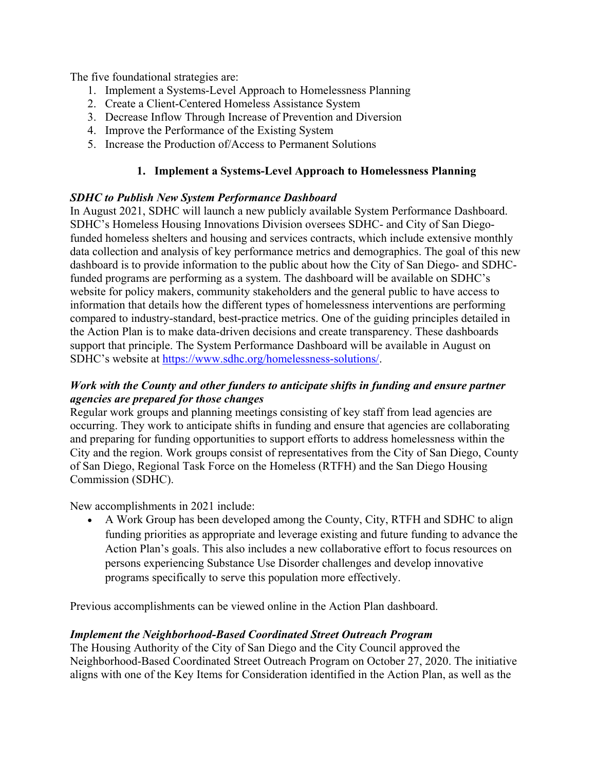The five foundational strategies are:

- 1. Implement a Systems-Level Approach to Homelessness Planning
- 2. Create a Client-Centered Homeless Assistance System
- 3. Decrease Inflow Through Increase of Prevention and Diversion
- 4. Improve the Performance of the Existing System
- 5. Increase the Production of/Access to Permanent Solutions

## **1. Implement a Systems-Level Approach to Homelessness Planning**

## *SDHC to Publish New System Performance Dashboard*

In August 2021, SDHC will launch a new publicly available System Performance Dashboard. SDHC's Homeless Housing Innovations Division oversees SDHC- and City of San Diegofunded homeless shelters and housing and services contracts, which include extensive monthly data collection and analysis of key performance metrics and demographics. The goal of this new dashboard is to provide information to the public about how the City of San Diego- and SDHCfunded programs are performing as a system. The dashboard will be available on SDHC's website for policy makers, community stakeholders and the general public to have access to information that details how the different types of homelessness interventions are performing compared to industry-standard, best-practice metrics. One of the guiding principles detailed in the Action Plan is to make data-driven decisions and create transparency. These dashboards support that principle. The System Performance Dashboard will be available in August on SDHC's website at [https://www.sdhc.org/homelessness-solutions/.](https://www.sdhc.org/homelessness-solutions/)

## *Work with the County and other funders to anticipate shifts in funding and ensure partner agencies are prepared for those changes*

Regular work groups and planning meetings consisting of key staff from lead agencies are occurring. They work to anticipate shifts in funding and ensure that agencies are collaborating and preparing for funding opportunities to support efforts to address homelessness within the City and the region. Work groups consist of representatives from the City of San Diego, County of San Diego, Regional Task Force on the Homeless (RTFH) and the San Diego Housing Commission (SDHC).

New accomplishments in 2021 include:

• A Work Group has been developed among the County, City, RTFH and SDHC to align funding priorities as appropriate and leverage existing and future funding to advance the Action Plan's goals. This also includes a new collaborative effort to focus resources on persons experiencing Substance Use Disorder challenges and develop innovative programs specifically to serve this population more effectively.

Previous accomplishments can be viewed online in the Action Plan dashboard.

## *Implement the Neighborhood-Based Coordinated Street Outreach Program*

The Housing Authority of the City of San Diego and the City Council approved the Neighborhood-Based Coordinated Street Outreach Program on October 27, 2020. The initiative aligns with one of the Key Items for Consideration identified in the Action Plan, as well as the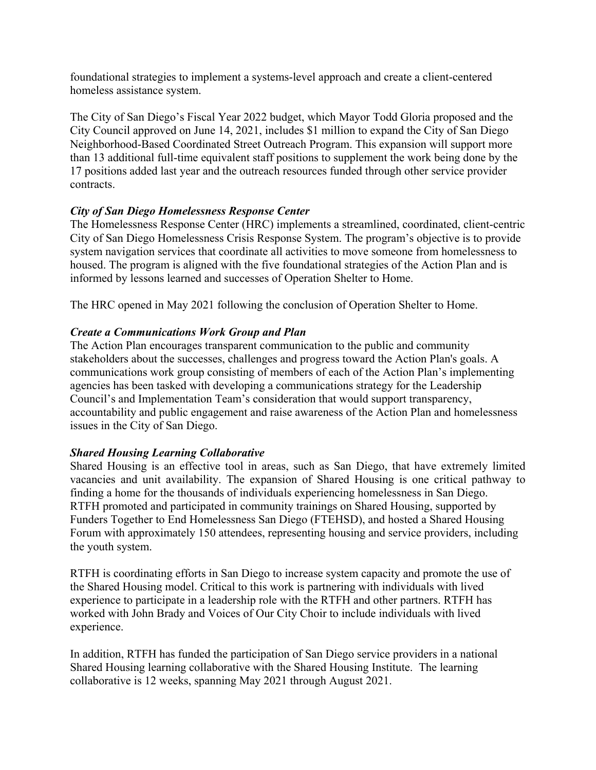foundational strategies to implement a systems-level approach and create a client-centered homeless assistance system.

The City of San Diego's Fiscal Year 2022 budget, which Mayor Todd Gloria proposed and the City Council approved on June 14, 2021, includes \$1 million to expand the City of San Diego Neighborhood-Based Coordinated Street Outreach Program. This expansion will support more than 13 additional full-time equivalent staff positions to supplement the work being done by the 17 positions added last year and the outreach resources funded through other service provider contracts.

## *City of San Diego Homelessness Response Center*

The Homelessness Response Center (HRC) implements a streamlined, coordinated, client-centric City of San Diego Homelessness Crisis Response System. The program's objective is to provide system navigation services that coordinate all activities to move someone from homelessness to housed. The program is aligned with the five foundational strategies of the Action Plan and is informed by lessons learned and successes of Operation Shelter to Home.

The HRC opened in May 2021 following the conclusion of Operation Shelter to Home.

## *Create a Communications Work Group and Plan*

The Action Plan encourages transparent communication to the public and community stakeholders about the successes, challenges and progress toward the Action Plan's goals. A communications work group consisting of members of each of the Action Plan's implementing agencies has been tasked with developing a communications strategy for the Leadership Council's and Implementation Team's consideration that would support transparency, accountability and public engagement and raise awareness of the Action Plan and homelessness issues in the City of San Diego.

## *Shared Housing Learning Collaborative*

Shared Housing is an effective tool in areas, such as San Diego, that have extremely limited vacancies and unit availability. The expansion of Shared Housing is one critical pathway to finding a home for the thousands of individuals experiencing homelessness in San Diego. RTFH promoted and participated in community trainings on Shared Housing, supported by Funders Together to End Homelessness San Diego (FTEHSD), and hosted a Shared Housing Forum with approximately 150 attendees, representing housing and service providers, including the youth system.

RTFH is coordinating efforts in San Diego to increase system capacity and promote the use of the Shared Housing model. Critical to this work is partnering with individuals with lived experience to participate in a leadership role with the RTFH and other partners. RTFH has worked with John Brady and Voices of Our City Choir to include individuals with lived experience.

In addition, RTFH has funded the participation of San Diego service providers in a national Shared Housing learning collaborative with the Shared Housing Institute. The learning collaborative is 12 weeks, spanning May 2021 through August 2021.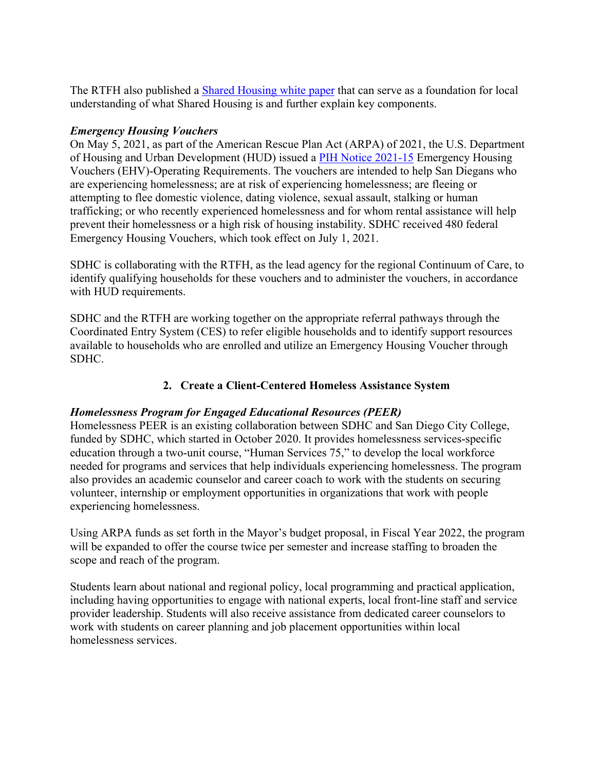The RTFH also published a [Shared Housing white paper](https://www.rtfhsd.org/wp-content/uploads/RTFH-Shared-Housing-White-Paper-FINAL.pdf) that can serve as a foundation for local understanding of what Shared Housing is and further explain key components.

## *Emergency Housing Vouchers*

On May 5, 2021, as part of the American Rescue Plan Act (ARPA) of 2021, the U.S. Department of Housing and Urban Development (HUD) issued a [PIH Notice 2021-15](https://www.hud.gov/sites/dfiles/PIH/documents/PIH2021-15.pdf) Emergency Housing Vouchers (EHV)-Operating Requirements. The vouchers are intended to help San Diegans who are experiencing homelessness; are at risk of experiencing homelessness; are fleeing or attempting to flee domestic violence, dating violence, sexual assault, stalking or human trafficking; or who recently experienced homelessness and for whom rental assistance will help prevent their homelessness or a high risk of housing instability. SDHC received 480 federal Emergency Housing Vouchers, which took effect on July 1, 2021.

SDHC is collaborating with the RTFH, as the lead agency for the regional Continuum of Care, to identify qualifying households for these vouchers and to administer the vouchers, in accordance with HUD requirements.

SDHC and the RTFH are working together on the appropriate referral pathways through the Coordinated Entry System (CES) to refer eligible households and to identify support resources available to households who are enrolled and utilize an Emergency Housing Voucher through SDHC.

## **2. Create a Client-Centered Homeless Assistance System**

## *Homelessness Program for Engaged Educational Resources (PEER)*

Homelessness PEER is an existing collaboration between SDHC and San Diego City College, funded by SDHC, which started in October 2020. It provides homelessness services-specific education through a two-unit course, "Human Services 75," to develop the local workforce needed for programs and services that help individuals experiencing homelessness. The program also provides an academic counselor and career coach to work with the students on securing volunteer, internship or employment opportunities in organizations that work with people experiencing homelessness.

Using ARPA funds as set forth in the Mayor's budget proposal, in Fiscal Year 2022, the program will be expanded to offer the course twice per semester and increase staffing to broaden the scope and reach of the program.

Students learn about national and regional policy, local programming and practical application, including having opportunities to engage with national experts, local front-line staff and service provider leadership. Students will also receive assistance from dedicated career counselors to work with students on career planning and job placement opportunities within local homelessness services.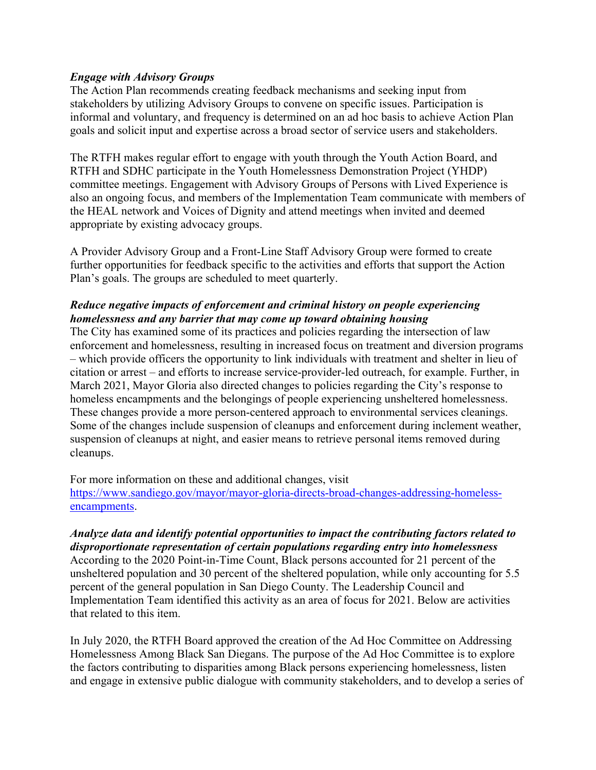#### *Engage with Advisory Groups*

The Action Plan recommends creating feedback mechanisms and seeking input from stakeholders by utilizing Advisory Groups to convene on specific issues. Participation is informal and voluntary, and frequency is determined on an ad hoc basis to achieve Action Plan goals and solicit input and expertise across a broad sector of service users and stakeholders.

The RTFH makes regular effort to engage with youth through the Youth Action Board, and RTFH and SDHC participate in the Youth Homelessness Demonstration Project (YHDP) committee meetings. Engagement with Advisory Groups of Persons with Lived Experience is also an ongoing focus, and members of the Implementation Team communicate with members of the HEAL network and Voices of Dignity and attend meetings when invited and deemed appropriate by existing advocacy groups.

A Provider Advisory Group and a Front-Line Staff Advisory Group were formed to create further opportunities for feedback specific to the activities and efforts that support the Action Plan's goals. The groups are scheduled to meet quarterly.

## *Reduce negative impacts of enforcement and criminal history on people experiencing homelessness and any barrier that may come up toward obtaining housing*

The City has examined some of its practices and policies regarding the intersection of law enforcement and homelessness, resulting in increased focus on treatment and diversion programs – which provide officers the opportunity to link individuals with treatment and shelter in lieu of citation or arrest – and efforts to increase service-provider-led outreach, for example. Further, in March 2021, Mayor Gloria also directed changes to policies regarding the City's response to homeless encampments and the belongings of people experiencing unsheltered homelessness. These changes provide a more person-centered approach to environmental services cleanings. Some of the changes include suspension of cleanups and enforcement during inclement weather, suspension of cleanups at night, and easier means to retrieve personal items removed during cleanups.

For more information on these and additional changes, visit [https://www.sandiego.gov/mayor/mayor-gloria-directs-broad-changes-addressing-homeless](https://www.sandiego.gov/mayor/mayor-gloria-directs-broad-changes-addressing-homeless-encampments)[encampments.](https://www.sandiego.gov/mayor/mayor-gloria-directs-broad-changes-addressing-homeless-encampments)

## *Analyze data and identify potential opportunities to impact the contributing factors related to disproportionate representation of certain populations regarding entry into homelessness*

According to the 2020 Point-in-Time Count, Black persons accounted for 21 percent of the unsheltered population and 30 percent of the sheltered population, while only accounting for 5.5 percent of the general population in San Diego County. The Leadership Council and Implementation Team identified this activity as an area of focus for 2021. Below are activities that related to this item.

In July 2020, the RTFH Board approved the creation of the Ad Hoc Committee on Addressing Homelessness Among Black San Diegans. The purpose of the Ad Hoc Committee is to explore the factors contributing to disparities among Black persons experiencing homelessness, listen and engage in extensive public dialogue with community stakeholders, and to develop a series of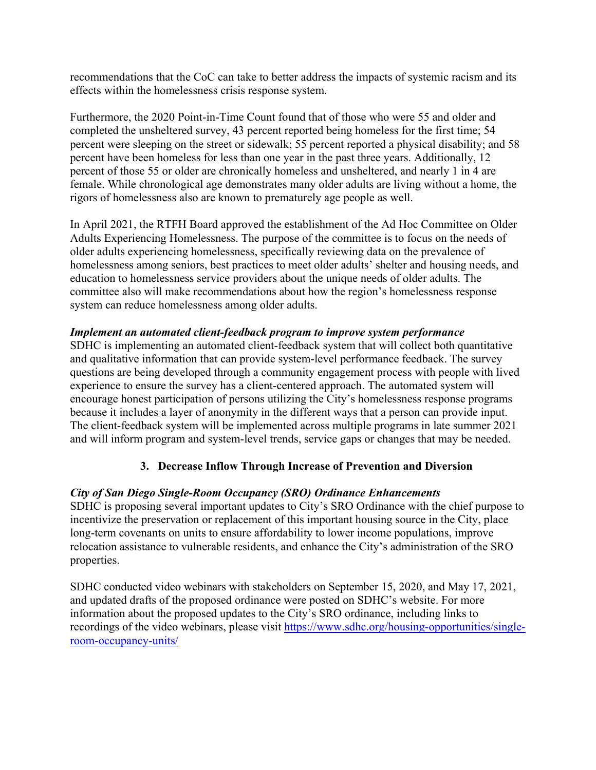recommendations that the CoC can take to better address the impacts of systemic racism and its effects within the homelessness crisis response system.

Furthermore, the 2020 Point-in-Time Count found that of those who were 55 and older and completed the unsheltered survey, 43 percent reported being homeless for the first time; 54 percent were sleeping on the street or sidewalk; 55 percent reported a physical disability; and 58 percent have been homeless for less than one year in the past three years. Additionally, 12 percent of those 55 or older are chronically homeless and unsheltered, and nearly 1 in 4 are female. While chronological age demonstrates many older adults are living without a home, the rigors of homelessness also are known to prematurely age people as well.

In April 2021, the RTFH Board approved the establishment of the Ad Hoc Committee on Older Adults Experiencing Homelessness. The purpose of the committee is to focus on the needs of older adults experiencing homelessness, specifically reviewing data on the prevalence of homelessness among seniors, best practices to meet older adults' shelter and housing needs, and education to homelessness service providers about the unique needs of older adults. The committee also will make recommendations about how the region's homelessness response system can reduce homelessness among older adults.

## *Implement an automated client-feedback program to improve system performance*

SDHC is implementing an automated client-feedback system that will collect both quantitative and qualitative information that can provide system-level performance feedback. The survey questions are being developed through a community engagement process with people with lived experience to ensure the survey has a client-centered approach. The automated system will encourage honest participation of persons utilizing the City's homelessness response programs because it includes a layer of anonymity in the different ways that a person can provide input. The client-feedback system will be implemented across multiple programs in late summer 2021 and will inform program and system-level trends, service gaps or changes that may be needed.

## **3. Decrease Inflow Through Increase of Prevention and Diversion**

## *City of San Diego Single-Room Occupancy (SRO) Ordinance Enhancements*

SDHC is proposing several important updates to City's SRO Ordinance with the chief purpose to incentivize the preservation or replacement of this important housing source in the City, place long-term covenants on units to ensure affordability to lower income populations, improve relocation assistance to vulnerable residents, and enhance the City's administration of the SRO properties.

SDHC conducted video webinars with stakeholders on September 15, 2020, and May 17, 2021, and updated drafts of the proposed ordinance were posted on SDHC's website. For more information about the proposed updates to the City's SRO ordinance, including links to recordings of the video webinars, please visit [https://www.sdhc.org/housing-opportunities/single](https://www.sdhc.org/housing-opportunities/single-room-occupancy-units/)[room-occupancy-units/](https://www.sdhc.org/housing-opportunities/single-room-occupancy-units/)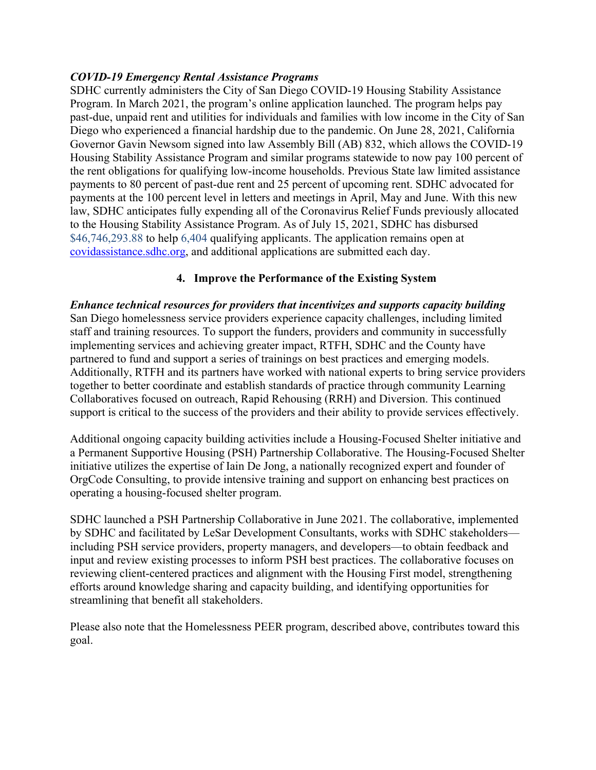#### *COVID-19 Emergency Rental Assistance Programs*

SDHC currently administers the City of San Diego COVID-19 Housing Stability Assistance Program. In March 2021, the program's online application launched. The program helps pay past-due, unpaid rent and utilities for individuals and families with low income in the City of San Diego who experienced a financial hardship due to the pandemic. On June 28, 2021, California Governor Gavin Newsom signed into law Assembly Bill (AB) 832, which allows the COVID-19 Housing Stability Assistance Program and similar programs statewide to now pay 100 percent of the rent obligations for qualifying low-income households. Previous State law limited assistance payments to 80 percent of past-due rent and 25 percent of upcoming rent. SDHC advocated for payments at the 100 percent level in letters and meetings in April, May and June. With this new law, SDHC anticipates fully expending all of the Coronavirus Relief Funds previously allocated to the Housing Stability Assistance Program. As of July 15, 2021, SDHC has disbursed \$46,746,293.88 to help 6,404 qualifying applicants. The application remains open at [covidassistance.sdhc.org,](https://covidassistance.sdhc.org/) and additional applications are submitted each day.

## **4. Improve the Performance of the Existing System**

*Enhance technical resources for providers that incentivizes and supports capacity building*  San Diego homelessness service providers experience capacity challenges, including limited staff and training resources. To support the funders, providers and community in successfully implementing services and achieving greater impact, RTFH, SDHC and the County have partnered to fund and support a series of trainings on best practices and emerging models. Additionally, RTFH and its partners have worked with national experts to bring service providers together to better coordinate and establish standards of practice through community Learning Collaboratives focused on outreach, Rapid Rehousing (RRH) and Diversion. This continued support is critical to the success of the providers and their ability to provide services effectively.

Additional ongoing capacity building activities include a Housing-Focused Shelter initiative and a Permanent Supportive Housing (PSH) Partnership Collaborative. The Housing-Focused Shelter initiative utilizes the expertise of Iain De Jong, a nationally recognized expert and founder of OrgCode Consulting, to provide intensive training and support on enhancing best practices on operating a housing-focused shelter program.

SDHC launched a PSH Partnership Collaborative in June 2021. The collaborative, implemented by SDHC and facilitated by LeSar Development Consultants, works with SDHC stakeholders including PSH service providers, property managers, and developers—to obtain feedback and input and review existing processes to inform PSH best practices. The collaborative focuses on reviewing client-centered practices and alignment with the Housing First model, strengthening efforts around knowledge sharing and capacity building, and identifying opportunities for streamlining that benefit all stakeholders.

Please also note that the Homelessness PEER program, described above, contributes toward this goal.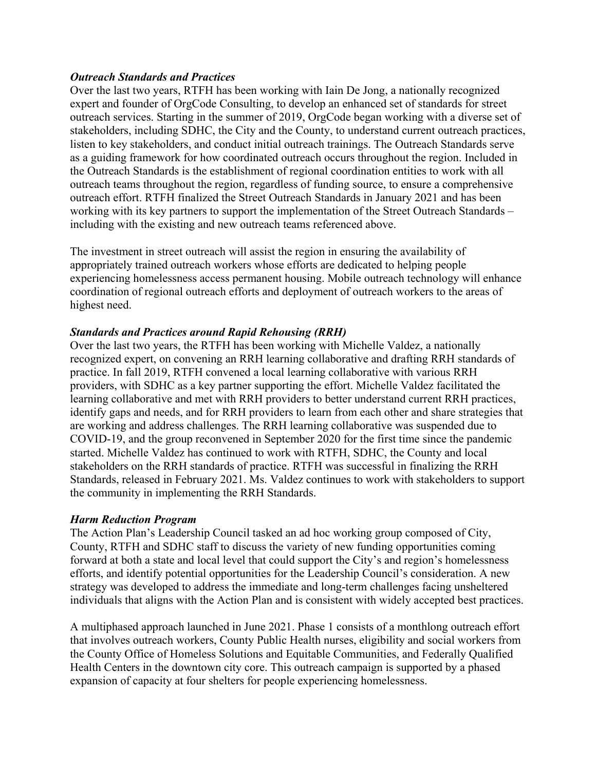#### *Outreach Standards and Practices*

Over the last two years, RTFH has been working with Iain De Jong, a nationally recognized expert and founder of OrgCode Consulting, to develop an enhanced set of standards for street outreach services. Starting in the summer of 2019, OrgCode began working with a diverse set of stakeholders, including SDHC, the City and the County, to understand current outreach practices, listen to key stakeholders, and conduct initial outreach trainings. The Outreach Standards serve as a guiding framework for how coordinated outreach occurs throughout the region. Included in the Outreach Standards is the establishment of regional coordination entities to work with all outreach teams throughout the region, regardless of funding source, to ensure a comprehensive outreach effort. RTFH finalized the Street Outreach Standards in January 2021 and has been working with its key partners to support the implementation of the Street Outreach Standards – including with the existing and new outreach teams referenced above.

The investment in street outreach will assist the region in ensuring the availability of appropriately trained outreach workers whose efforts are dedicated to helping people experiencing homelessness access permanent housing. Mobile outreach technology will enhance coordination of regional outreach efforts and deployment of outreach workers to the areas of highest need.

## *Standards and Practices around Rapid Rehousing (RRH)*

Over the last two years, the RTFH has been working with Michelle Valdez, a nationally recognized expert, on convening an RRH learning collaborative and drafting RRH standards of practice. In fall 2019, RTFH convened a local learning collaborative with various RRH providers, with SDHC as a key partner supporting the effort. Michelle Valdez facilitated the learning collaborative and met with RRH providers to better understand current RRH practices, identify gaps and needs, and for RRH providers to learn from each other and share strategies that are working and address challenges. The RRH learning collaborative was suspended due to COVID-19, and the group reconvened in September 2020 for the first time since the pandemic started. Michelle Valdez has continued to work with RTFH, SDHC, the County and local stakeholders on the RRH standards of practice. RTFH was successful in finalizing the RRH Standards, released in February 2021. Ms. Valdez continues to work with stakeholders to support the community in implementing the RRH Standards.

## *Harm Reduction Program*

The Action Plan's Leadership Council tasked an ad hoc working group composed of City, County, RTFH and SDHC staff to discuss the variety of new funding opportunities coming forward at both a state and local level that could support the City's and region's homelessness efforts, and identify potential opportunities for the Leadership Council's consideration. A new strategy was developed to address the immediate and long-term challenges facing unsheltered individuals that aligns with the Action Plan and is consistent with widely accepted best practices.

A multiphased approach launched in June 2021. Phase 1 consists of a monthlong outreach effort that involves outreach workers, County Public Health nurses, eligibility and social workers from the County Office of Homeless Solutions and Equitable Communities, and Federally Qualified Health Centers in the downtown city core. This outreach campaign is supported by a phased expansion of capacity at four shelters for people experiencing homelessness.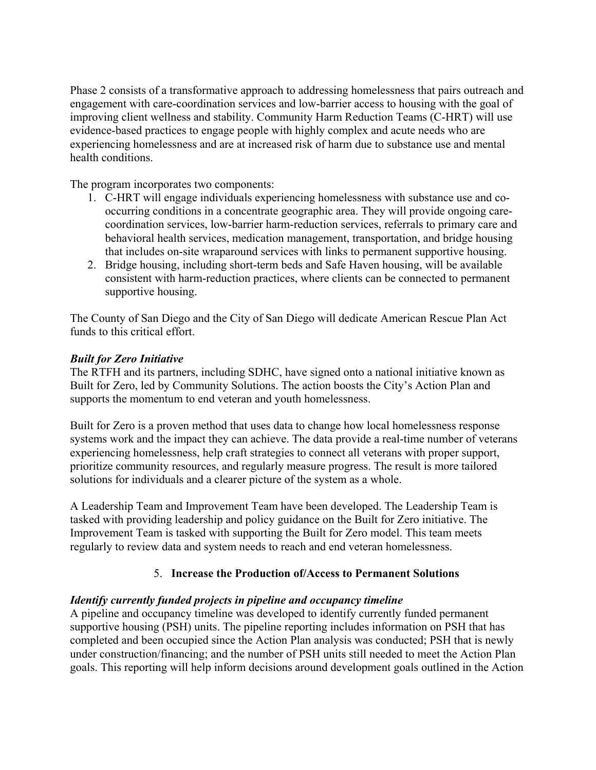Phase 2 consists of a transformative approach to addressing homelessness that pairs outreach and engagement with care-coordination services and low-barrier access to housing with the goal of improving client wellness and stability. Community Harm Reduction Teams (C-HRT) will use evidence-based practices to engage people with highly complex and acute needs who are experiencing homelessness and are at increased risk of harm due to substance use and mental health conditions.

The program incorporates two components:

- 1. C-HRT will engage individuals experiencing homelessness with substance use and cooccurring conditions in a concentrate geographic area. They will provide ongoing carecoordination services, low-barrier harm-reduction services, referrals to primary care and behavioral health services, medication management, transportation, and bridge housing that includes on-site wraparound services with links to permanent supportive housing.
- 2. Bridge housing, including short-term beds and Safe Haven housing, will be available consistent with harm-reduction practices, where clients can be connected to permanent supportive housing.

The County of San Diego and the City of San Diego will dedicate American Rescue Plan Act funds to this critical effort.

## *Built for Zero Initiative*

The RTFH and its partners, including SDHC, have signed onto a national initiative known as Built for Zero, led by Community Solutions. The action boosts the City's Action Plan and supports the momentum to end veteran and youth homelessness.

Built for Zero is a proven method that uses data to change how local homelessness response systems work and the impact they can achieve. The data provide a real-time number of veterans experiencing homelessness, help craft strategies to connect all veterans with proper support, prioritize community resources, and regularly measure progress. The result is more tailored solutions for individuals and a clearer picture of the system as a whole.

A Leadership Team and Improvement Team have been developed. The Leadership Team is tasked with providing leadership and policy guidance on the Built for Zero initiative. The Improvement Team is tasked with supporting the Built for Zero model. This team meets regularly to review data and system needs to reach and end veteran homelessness.

## 5. **Increase the Production of/Access to Permanent Solutions**

#### *Identify currently funded projects in pipeline and occupancy timeline*

A pipeline and occupancy timeline was developed to identify currently funded permanent supportive housing (PSH) units. The pipeline reporting includes information on PSH that has completed and been occupied since the Action Plan analysis was conducted; PSH that is newly under construction/financing; and the number of PSH units still needed to meet the Action Plan goals. This reporting will help inform decisions around development goals outlined in the Action